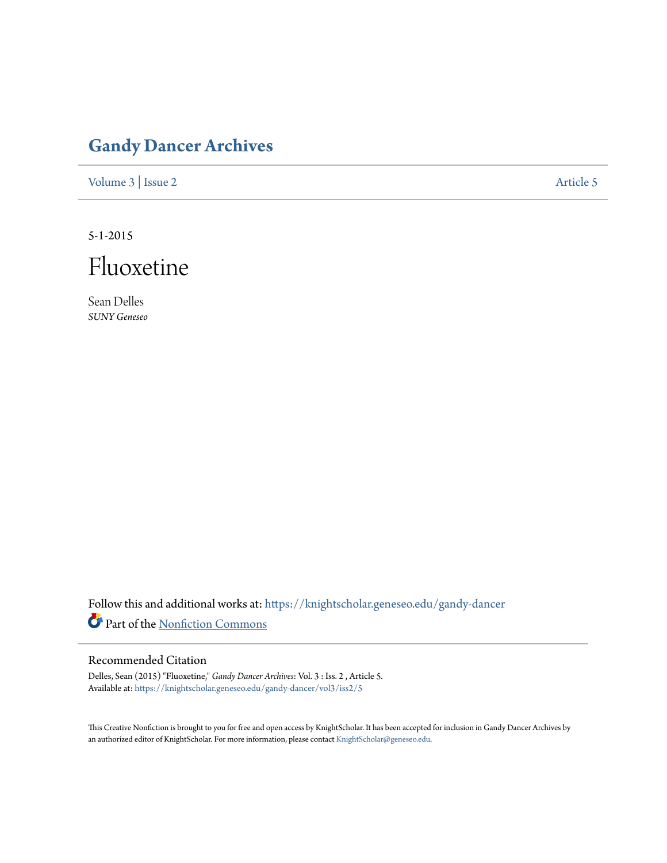## **[Gandy Dancer Archives](https://knightscholar.geneseo.edu/gandy-dancer?utm_source=knightscholar.geneseo.edu%2Fgandy-dancer%2Fvol3%2Fiss2%2F5&utm_medium=PDF&utm_campaign=PDFCoverPages)**

[Volume 3](https://knightscholar.geneseo.edu/gandy-dancer/vol3?utm_source=knightscholar.geneseo.edu%2Fgandy-dancer%2Fvol3%2Fiss2%2F5&utm_medium=PDF&utm_campaign=PDFCoverPages) | [Issue 2](https://knightscholar.geneseo.edu/gandy-dancer/vol3/iss2?utm_source=knightscholar.geneseo.edu%2Fgandy-dancer%2Fvol3%2Fiss2%2F5&utm_medium=PDF&utm_campaign=PDFCoverPages) [Article 5](https://knightscholar.geneseo.edu/gandy-dancer/vol3/iss2/5?utm_source=knightscholar.geneseo.edu%2Fgandy-dancer%2Fvol3%2Fiss2%2F5&utm_medium=PDF&utm_campaign=PDFCoverPages)

5-1-2015



Sean Delles *SUNY Geneseo*

Follow this and additional works at: [https://knightscholar.geneseo.edu/gandy-dancer](https://knightscholar.geneseo.edu/gandy-dancer?utm_source=knightscholar.geneseo.edu%2Fgandy-dancer%2Fvol3%2Fiss2%2F5&utm_medium=PDF&utm_campaign=PDFCoverPages) Part of the [Nonfiction Commons](http://network.bepress.com/hgg/discipline/1152?utm_source=knightscholar.geneseo.edu%2Fgandy-dancer%2Fvol3%2Fiss2%2F5&utm_medium=PDF&utm_campaign=PDFCoverPages)

## Recommended Citation

Delles, Sean (2015) "Fluoxetine," *Gandy Dancer Archives*: Vol. 3 : Iss. 2 , Article 5. Available at: [https://knightscholar.geneseo.edu/gandy-dancer/vol3/iss2/5](https://knightscholar.geneseo.edu/gandy-dancer/vol3/iss2/5?utm_source=knightscholar.geneseo.edu%2Fgandy-dancer%2Fvol3%2Fiss2%2F5&utm_medium=PDF&utm_campaign=PDFCoverPages)

This Creative Nonfiction is brought to you for free and open access by KnightScholar. It has been accepted for inclusion in Gandy Dancer Archives by an authorized editor of KnightScholar. For more information, please contact [KnightScholar@geneseo.edu](mailto:KnightScholar@geneseo.edu).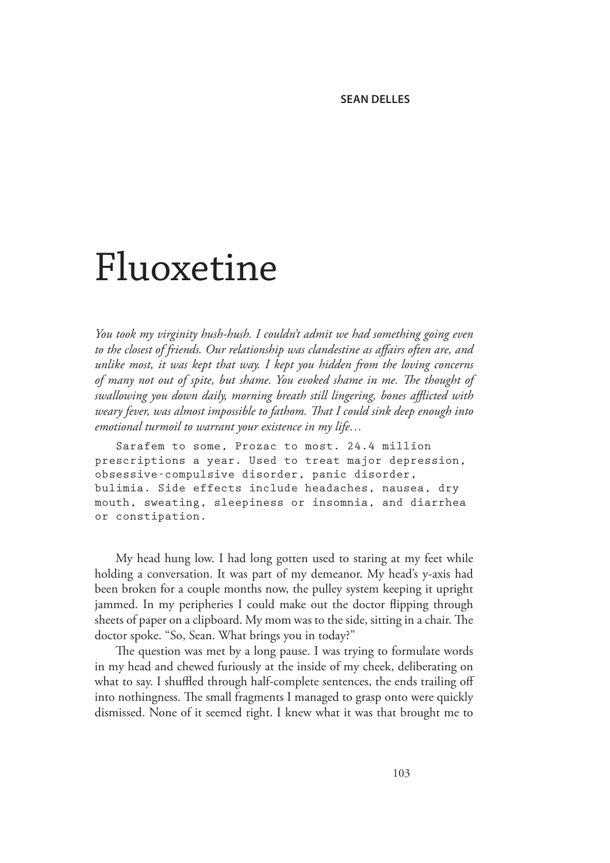## Fluoxetine

*You took my virginity hush-hush. I couldn't admit we had something going even to the closest of friends. Our relationship was clandestine as affairs often are, and unlike most, it was kept that way. I kept you hidden from the loving concerns of many not out of spite, but shame. You evoked shame in me. The thought of swallowing you down daily, morning breath still lingering, bones afflicted with weary fever, was almost impossible to fathom. That I could sink deep enough into emotional turmoil to warrant your existence in my life…* 

Sarafem to some, Prozac to most. 24.4 million prescriptions a year. Used to treat major depression, obsessive-compulsive disorder, panic disorder, bulimia. Side effects include headaches, nausea, dry mouth, sweating, sleepiness or insomnia, and diarrhea or constipation.

My head hung low. I had long gotten used to staring at my feet while holding a conversation. It was part of my demeanor. My head's y-axis had been broken for a couple months now, the pulley system keeping it upright jammed. In my peripheries I could make out the doctor flipping through sheets of paper on a clipboard. My mom was to the side, sitting in a chair. The doctor spoke. "So, Sean. What brings you in today?"

The question was met by a long pause. I was trying to formulate words in my head and chewed furiously at the inside of my cheek, deliberating on what to say. I shuffled through half-complete sentences, the ends trailing off into nothingness. The small fragments I managed to grasp onto were quickly dismissed. None of it seemed right. I knew what it was that brought me to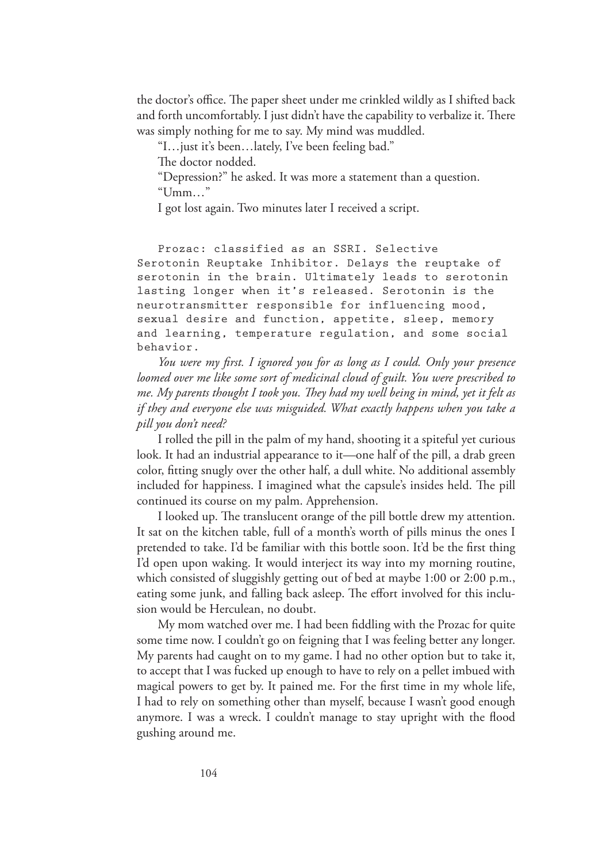the doctor's office. The paper sheet under me crinkled wildly as I shifted back and forth uncomfortably. I just didn't have the capability to verbalize it. There was simply nothing for me to say. My mind was muddled.

"I…just it's been…lately, I've been feeling bad."

The doctor nodded.

"Depression?" he asked. It was more a statement than a question. "Umm…"

I got lost again. Two minutes later I received a script.

Prozac: classified as an SSRI. Selective Serotonin Reuptake Inhibitor. Delays the reuptake of serotonin in the brain. Ultimately leads to serotonin lasting longer when it's released. Serotonin is the neurotransmitter responsible for influencing mood, sexual desire and function, appetite, sleep, memory and learning, temperature regulation, and some social behavior.

*You were my first. I ignored you for as long as I could. Only your presence loomed over me like some sort of medicinal cloud of guilt. You were prescribed to me. My parents thought I took you. They had my well being in mind, yet it felt as if they and everyone else was misguided. What exactly happens when you take a pill you don't need?* 

I rolled the pill in the palm of my hand, shooting it a spiteful yet curious look. It had an industrial appearance to it—one half of the pill, a drab green color, fitting snugly over the other half, a dull white. No additional assembly included for happiness. I imagined what the capsule's insides held. The pill continued its course on my palm. Apprehension.

I looked up. The translucent orange of the pill bottle drew my attention. It sat on the kitchen table, full of a month's worth of pills minus the ones I pretended to take. I'd be familiar with this bottle soon. It'd be the first thing I'd open upon waking. It would interject its way into my morning routine, which consisted of sluggishly getting out of bed at maybe 1:00 or 2:00 p.m., eating some junk, and falling back asleep. The effort involved for this inclusion would be Herculean, no doubt.

My mom watched over me. I had been fiddling with the Prozac for quite some time now. I couldn't go on feigning that I was feeling better any longer. My parents had caught on to my game. I had no other option but to take it, to accept that I was fucked up enough to have to rely on a pellet imbued with magical powers to get by. It pained me. For the first time in my whole life, I had to rely on something other than myself, because I wasn't good enough anymore. I was a wreck. I couldn't manage to stay upright with the flood gushing around me.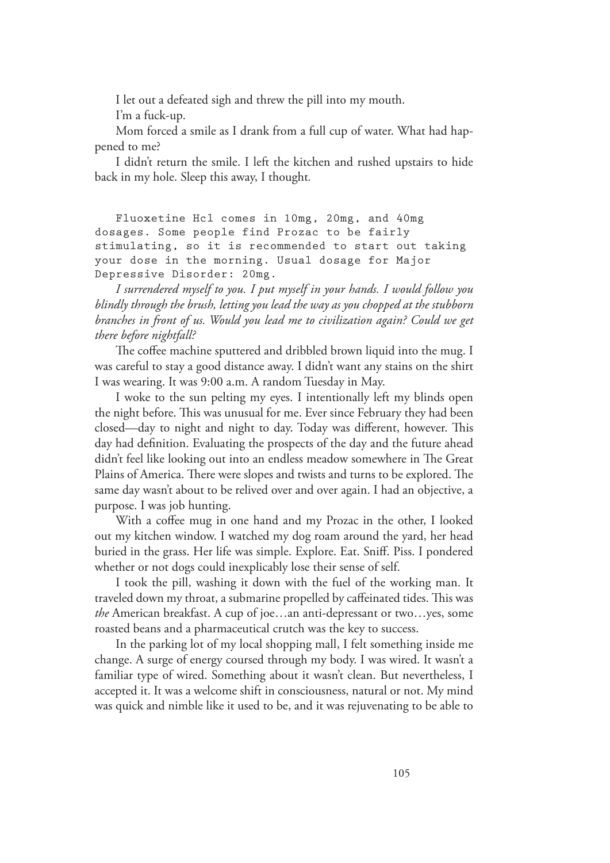I let out a defeated sigh and threw the pill into my mouth.

I'm a fuck-up.

Mom forced a smile as I drank from a full cup of water. What had happened to me?

I didn't return the smile. I left the kitchen and rushed upstairs to hide back in my hole. Sleep this away, I thought*.*

Fluoxetine Hcl comes in 10mg, 20mg, and 40mg dosages. Some people find Prozac to be fairly stimulating, so it is recommended to start out taking your dose in the morning. Usual dosage for Major Depressive Disorder: 20mg.

*I surrendered myself to you. I put myself in your hands. I would follow you blindly through the brush, letting you lead the way as you chopped at the stubborn branches in front of us. Would you lead me to civilization again? Could we get there before nightfall?*

The coffee machine sputtered and dribbled brown liquid into the mug. I was careful to stay a good distance away. I didn't want any stains on the shirt I was wearing. It was 9:00 a.m. A random Tuesday in May.

I woke to the sun pelting my eyes. I intentionally left my blinds open the night before. This was unusual for me. Ever since February they had been closed—day to night and night to day. Today was different, however. This day had definition. Evaluating the prospects of the day and the future ahead didn't feel like looking out into an endless meadow somewhere in The Great Plains of America. There were slopes and twists and turns to be explored. The same day wasn't about to be relived over and over again. I had an objective, a purpose. I was job hunting.

With a coffee mug in one hand and my Prozac in the other, I looked out my kitchen window. I watched my dog roam around the yard, her head buried in the grass. Her life was simple. Explore. Eat. Sniff. Piss. I pondered whether or not dogs could inexplicably lose their sense of self.

I took the pill, washing it down with the fuel of the working man. It traveled down my throat, a submarine propelled by caffeinated tides. This was *the* American breakfast. A cup of joe…an anti-depressant or two…yes, some roasted beans and a pharmaceutical crutch was the key to success.

In the parking lot of my local shopping mall, I felt something inside me change. A surge of energy coursed through my body. I was wired. It wasn't a familiar type of wired. Something about it wasn't clean. But nevertheless, I accepted it. It was a welcome shift in consciousness, natural or not. My mind was quick and nimble like it used to be, and it was rejuvenating to be able to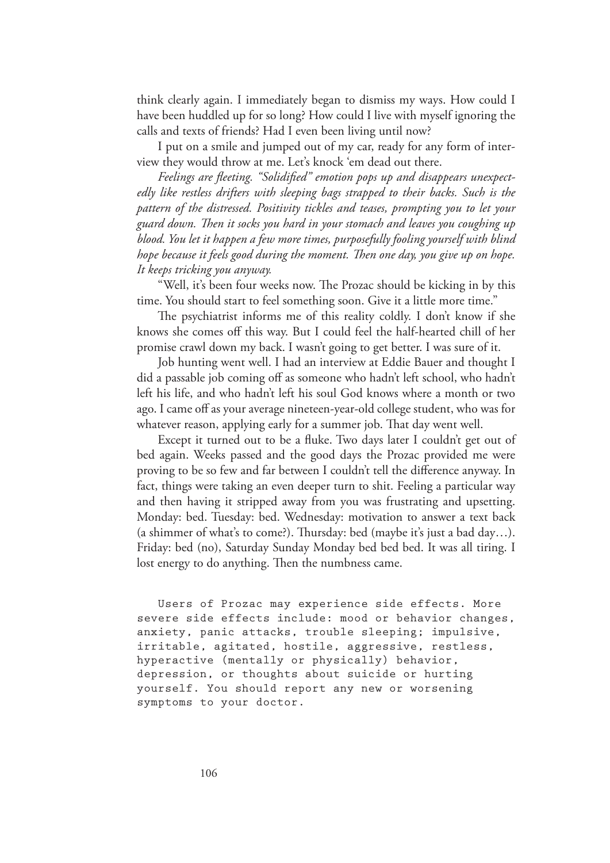think clearly again. I immediately began to dismiss my ways. How could I have been huddled up for so long? How could I live with myself ignoring the calls and texts of friends? Had I even been living until now?

I put on a smile and jumped out of my car, ready for any form of interview they would throw at me. Let's knock 'em dead out there.

*Feelings are fleeting. "Solidified" emotion pops up and disappears unexpectedly like restless drifters with sleeping bags strapped to their backs. Such is the pattern of the distressed. Positivity tickles and teases, prompting you to let your guard down. Then it socks you hard in your stomach and leaves you coughing up blood. You let it happen a few more times, purposefully fooling yourself with blind hope because it feels good during the moment. Then one day, you give up on hope. It keeps tricking you anyway.*

"Well, it's been four weeks now. The Prozac should be kicking in by this time. You should start to feel something soon. Give it a little more time."

The psychiatrist informs me of this reality coldly. I don't know if she knows she comes off this way. But I could feel the half-hearted chill of her promise crawl down my back. I wasn't going to get better. I was sure of it.

Job hunting went well. I had an interview at Eddie Bauer and thought I did a passable job coming off as someone who hadn't left school, who hadn't left his life, and who hadn't left his soul God knows where a month or two ago. I came off as your average nineteen-year-old college student, who was for whatever reason, applying early for a summer job. That day went well.

Except it turned out to be a fluke. Two days later I couldn't get out of bed again. Weeks passed and the good days the Prozac provided me were proving to be so few and far between I couldn't tell the difference anyway. In fact, things were taking an even deeper turn to shit. Feeling a particular way and then having it stripped away from you was frustrating and upsetting. Monday: bed. Tuesday: bed. Wednesday: motivation to answer a text back (a shimmer of what's to come?). Thursday: bed (maybe it's just a bad day…). Friday: bed (no), Saturday Sunday Monday bed bed bed. It was all tiring. I lost energy to do anything. Then the numbness came.

Users of Prozac may experience side effects. More severe side effects include: mood or behavior changes, anxiety, panic attacks, trouble sleeping; impulsive, irritable, agitated, hostile, aggressive, restless, hyperactive (mentally or physically) behavior, depression, or thoughts about suicide or hurting yourself. You should report any new or worsening symptoms to your doctor.